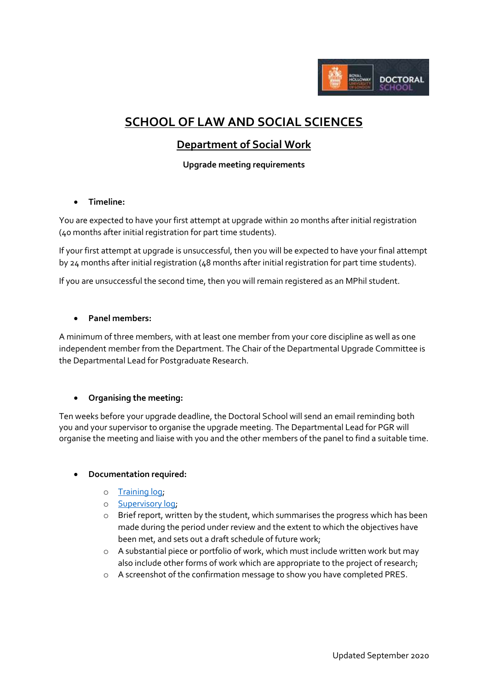

# **SCHOOL OF LAW AND SOCIAL SCIENCES**

# **Department of Social Work**

**Upgrade meeting requirements**

# **Timeline:**

You are expected to have your first attempt at upgrade within 20 months after initial registration (40 months after initial registration for part time students).

If your first attempt at upgrade is unsuccessful, then you will be expected to have your final attempt by 24 months after initial registration (48 months after initial registration for part time students).

If you are unsuccessful the second time, then you will remain registered as an MPhil student.

# **Panel members:**

A minimum of three members, with at least one member from your core discipline as well as one independent member from the Department. The Chair of the Departmental Upgrade Committee is the Departmental Lead for Postgraduate Research.

#### **Organising the meeting:**

Ten weeks before your upgrade deadline, the Doctoral School will send an email reminding both you and your supervisor to organise the upgrade meeting. The Departmental Lead for PGR will organise the meeting and liaise with you and the other members of the panel to find a suitable time.

#### **Documentation required:**

- o [Training log;](https://intranet.royalholloway.ac.uk/doctoral-school/assets/docs/doc/new-research-log.docx)
- o [Supervisory log;](https://intranet.royalholloway.ac.uk/doctoral-school/assets/docs/doc/pgr-record-of-supervisor-contacts.docx)
- o Brief report, written by the student, which summarises the progress which has been made during the period under review and the extent to which the objectives have been met, and sets out a draft schedule of future work;
- o A substantial piece or portfolio of work, which must include written work but may also include other forms of work which are appropriate to the project of research;
- o A screenshot of the confirmation message to show you have completed PRES.